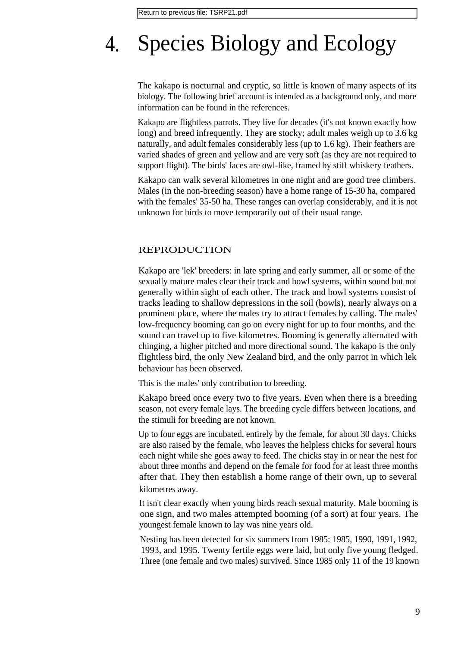# 4. Species Biology and Ecology

The kakapo is nocturnal and cryptic, so little is known of many aspects of its biology. The following brief account is intended as a background only, and more information can be found in the references.

Kakapo are flightless parrots. They live for decades (it's not known exactly how long) and breed infrequently. They are stocky; adult males weigh up to 3.6 kg naturally, and adult females considerably less (up to 1.6 kg). Their feathers are varied shades of green and yellow and are very soft (as they are not required to support flight). The birds' faces are owl-like, framed by stiff whiskery feathers.

Kakapo can walk several kilometres in one night and are good tree climbers. Males (in the non-breeding season) have a home range of 15-30 ha, compared with the females' 35-50 ha. These ranges can overlap considerably, and it is not unknown for birds to move temporarily out of their usual range.

#### REPRODUCTION

Kakapo are 'lek' breeders: in late spring and early summer, all or some of the sexually mature males clear their track and bowl systems, within sound but not generally within sight of each other. The track and bowl systems consist of tracks leading to shallow depressions in the soil (bowls), nearly always on a prominent place, where the males try to attract females by calling. The males' low-frequency booming can go on every night for up to four months, and the sound can travel up to five kilometres. Booming is generally alternated with chinging, a higher pitched and more directional sound. The kakapo is the only flightless bird, the only New Zealand bird, and the only parrot in which lek behaviour has been observed.

This is the males' only contribution to breeding.

Kakapo breed once every two to five years. Even when there is a breeding season, not every female lays. The breeding cycle differs between locations, and the stimuli for breeding are not known.

Up to four eggs are incubated, entirely by the female, for about 30 days. Chicks are also raised by the female, who leaves the helpless chicks for several hours each night while she goes away to feed. The chicks stay in or near the nest for about three months and depend on the female for food for at least three months after that. They then establish a home range of their own, up to several kilometres away.

It isn't clear exactly when young birds reach sexual maturity. Male booming is one sign, and two males attempted booming (of a sort) at four years. The youngest female known to lay was nine years old.

Nesting has been detected for six summers from 1985: 1985, 1990, 1991, 1992, 1993, and 1995. Twenty fertile eggs were laid, but only five young fledged. Three (one female and two males) survived. Since 1985 only 11 of the 19 known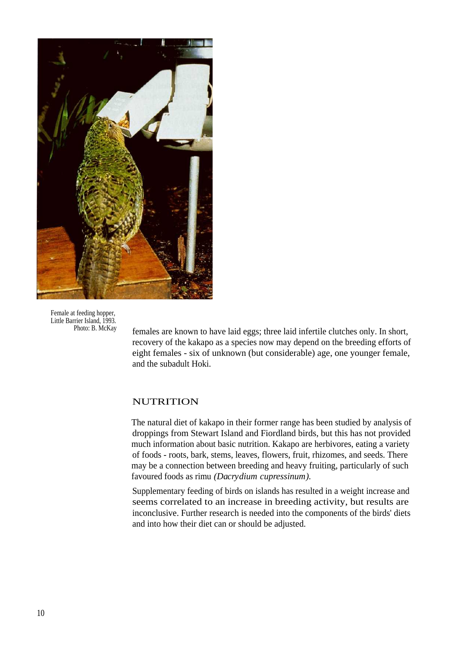

Female at feeding hopper, Little Barrier Island, 1993.<br>Photo: B. McKay

females are known to have laid eggs; three laid infertile clutches only. In short, recovery of the kakapo as a species now may depend on the breeding efforts of eight females - six of unknown (but considerable) age, one younger female, and the subadult Hoki.

#### NUTRITION

The natural diet of kakapo in their former range has been studied by analysis of droppings from Stewart Island and Fiordland birds, but this has not provided much information about basic nutrition. Kakapo are herbivores, eating a variety of foods - roots, bark, stems, leaves, flowers, fruit, rhizomes, and seeds. There may be a connection between breeding and heavy fruiting, particularly of such favoured foods as rimu *(Dacrydium cupressinum).*

Supplementary feeding of birds on islands has resulted in a weight increase and seems correlated to an increase in breeding activity, but results are inconclusive. Further research is needed into the components of the birds' diets and into how their diet can or should be adjusted.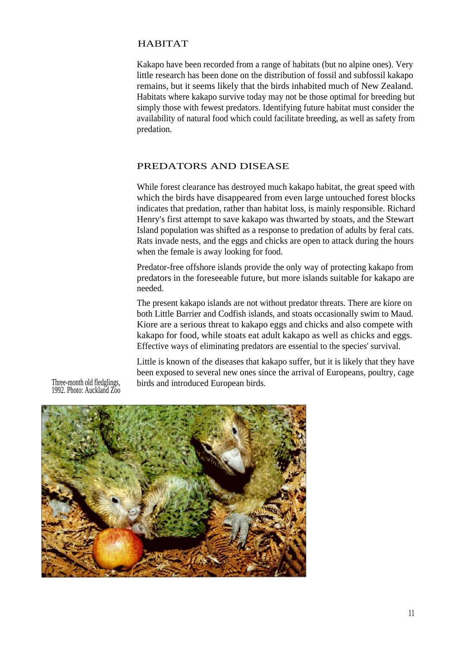#### HABITAT

Kakapo have been recorded from a range of habitats (but no alpine ones). Very little research has been done on the distribution of fossil and subfossil kakapo remains, but it seems likely that the birds inhabited much of New Zealand. Habitats where kakapo survive today may not be those optimal for breeding but simply those with fewest predators. Identifying future habitat must consider the availability of natural food which could facilitate breeding, as well as safety from predation.

#### PREDATORS AND DISEASE

While forest clearance has destroyed much kakapo habitat, the great speed with which the birds have disappeared from even large untouched forest blocks indicates that predation, rather than habitat loss, is mainly responsible. Richard Henry's first attempt to save kakapo was thwarted by stoats, and the Stewart Island population was shifted as a response to predation of adults by feral cats. Rats invade nests, and the eggs and chicks are open to attack during the hours when the female is away looking for food.

Predator-free offshore islands provide the only way of protecting kakapo from predators in the foreseeable future, but more islands suitable for kakapo are needed.

The present kakapo islands are not without predator threats. There are kiore on both Little Barrier and Codfish islands, and stoats occasionally swim to Maud. Kiore are a serious threat to kakapo eggs and chicks and also compete with kakapo for food, while stoats eat adult kakapo as well as chicks and eggs. Effective ways of eliminating predators are essential to the species' survival.

Little is known of the diseases that kakapo suffer, but it is likely that they have been exposed to several new ones since the arrival of Europeans, poultry, cage birds and introduced European birds.

Three-month old fledglings, 1992. Photo: Auckland Zoo

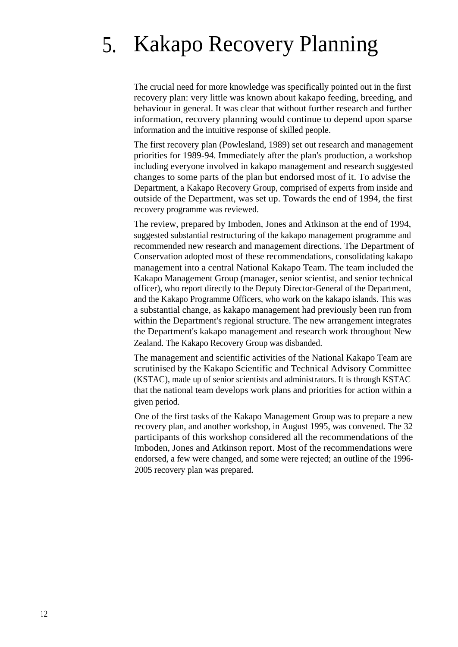# 5. Kakapo Recovery Planning

The crucial need for more knowledge was specifically pointed out in the first recovery plan: very little was known about kakapo feeding, breeding, and behaviour in general. It was clear that without further research and further information, recovery planning would continue to depend upon sparse information and the intuitive response of skilled people.

The first recovery plan (Powlesland, 1989) set out research and management priorities for 1989-94. Immediately after the plan's production, a workshop including everyone involved in kakapo management and research suggested changes to some parts of the plan but endorsed most of it. To advise the Department, a Kakapo Recovery Group, comprised of experts from inside and outside of the Department, was set up. Towards the end of 1994, the first recovery programme was reviewed.

The review, prepared by Imboden, Jones and Atkinson at the end of 1994, suggested substantial restructuring of the kakapo management programme and recommended new research and management directions. The Department of Conservation adopted most of these recommendations, consolidating kakapo management into a central National Kakapo Team. The team included the Kakapo Management Group (manager, senior scientist, and senior technical officer), who report directly to the Deputy Director-General of the Department, and the Kakapo Programme Officers, who work on the kakapo islands. This was a substantial change, as kakapo management had previously been run from within the Department's regional structure. The new arrangement integrates the Department's kakapo management and research work throughout New Zealand. The Kakapo Recovery Group was disbanded.

The management and scientific activities of the National Kakapo Team are scrutinised by the Kakapo Scientific and Technical Advisory Committee (KSTAC), made up of senior scientists and administrators. It is through KSTAC that the national team develops work plans and priorities for action within a given period.

One of the first tasks of the Kakapo Management Group was to prepare a new recovery plan, and another workshop, in August 1995, was convened. The 32 participants of this workshop considered all the recommendations of the Imboden, Jones and Atkinson report. Most of the recommendations were endorsed, a few were changed, and some were rejected; an outline of the 1996- 2005 recovery plan was prepared.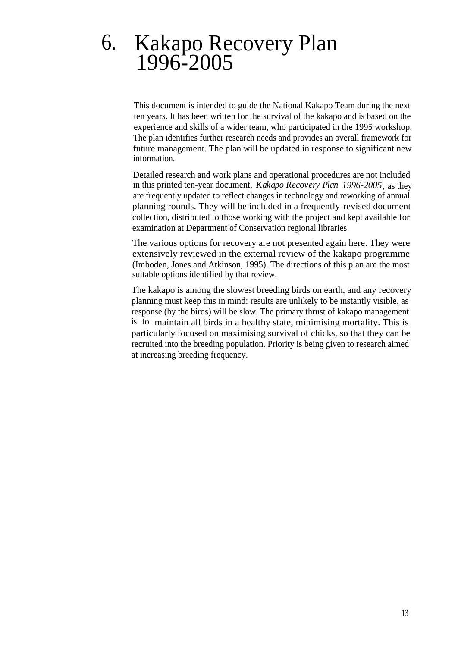## 6. Kakapo Recovery Plan 1996-2005

This document is intended to guide the National Kakapo Team during the next ten years. It has been written for the survival of the kakapo and is based on the experience and skills of a wider team, who participated in the 1995 workshop. The plan identifies further research needs and provides an overall framework for future management. The plan will be updated in response to significant new information.

Detailed research and work plans and operational procedures are not included in this printed ten-year document, *Kakapo Recovery Plan 1996-2005*, as they are frequently updated to reflect changes in technology and reworking of annual planning rounds. They will be included in a frequently-revised document collection, distributed to those working with the project and kept available for examination at Department of Conservation regional libraries.

The various options for recovery are not presented again here. They were extensively reviewed in the external review of the kakapo programme (Imboden, Jones and Atkinson, 1995). The directions of this plan are the most suitable options identified by that review.

The kakapo is among the slowest breeding birds on earth, and any recovery planning must keep this in mind: results are unlikely to be instantly visible, as response (by the birds) will be slow. The primary thrust of kakapo management is to maintain all birds in a healthy state, minimising mortality. This is particularly focused on maximising survival of chicks, so that they can be recruited into the breeding population. Priority is being given to research aimed at increasing breeding frequency.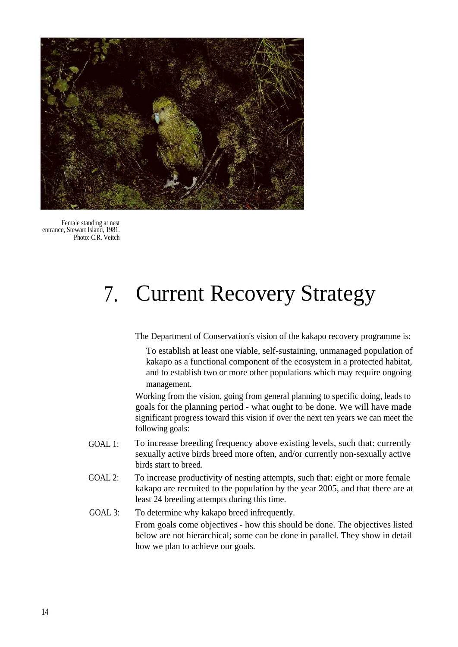

Female standing at nest entrance, Stewart Island, 1981. Photo: C.R. Veitch

# 7. Current Recovery Strategy

The Department of Conservation's vision of the kakapo recovery programme is:

To establish at least one viable, self-sustaining, unmanaged population of kakapo as a functional component of the ecosystem in a protected habitat, and to establish two or more other populations which may require ongoing management.

Working from the vision, going from general planning to specific doing, leads to goals for the planning period - what ought to be done. We will have made significant progress toward this vision if over the next ten years we can meet the following goals:

- GOAL 1: To increase breeding frequency above existing levels, such that: currently sexually active birds breed more often, and/or currently non-sexually active birds start to breed.
- GOAL 2: To increase productivity of nesting attempts, such that: eight or more female kakapo are recruited to the population by the year 2005, and that there are at least 24 breeding attempts during this time.
- GOAL 3: To determine why kakapo breed infrequently. From goals come objectives - how this should be done. The objectives listed below are not hierarchical; some can be done in parallel. They show in detail how we plan to achieve our goals.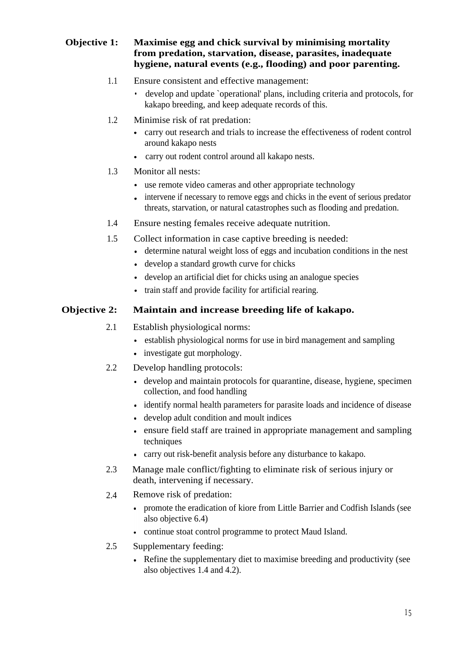#### **Objective 1: Maximise egg and chick survival by minimising mortality from predation, starvation, disease, parasites, inadequate hygiene, natural events (e.g., flooding) and poor parenting.**

- 1.1 Ensure consistent and effective management:
	- develop and update `operational' plans, including criteria and protocols, for kakapo breeding, and keep adequate records of this.
- 1.2 Minimise risk of rat predation:
	- carry out research and trials to increase the effectiveness of rodent control around kakapo nests
	- carry out rodent control around all kakapo nests.
- 1.3 Monitor all nests:
	- use remote video cameras and other appropriate technology
	- intervene if necessary to remove eggs and chicks in the event of serious predator threats, starvation, or natural catastrophes such as flooding and predation.
- 1.4 Ensure nesting females receive adequate nutrition.
- 1.5 Collect information in case captive breeding is needed:
	- determine natural weight loss of eggs and incubation conditions in the nest
	- develop a standard growth curve for chicks
	- develop an artificial diet for chicks using an analogue species
	- train staff and provide facility for artificial rearing.

### **Objective 2: Maintain and increase breeding life of kakapo.**

- 2.1 Establish physiological norms:
	- establish physiological norms for use in bird management and sampling
	- investigate gut morphology.
- 2.2 Develop handling protocols:
	- develop and maintain protocols for quarantine, disease, hygiene, specimen collection, and food handling
	- identify normal health parameters for parasite loads and incidence of disease
	- develop adult condition and moult indices
	- ensure field staff are trained in appropriate management and sampling techniques
	- carry out risk-benefit analysis before any disturbance to kakapo.
- 2.3 Manage male conflict/fighting to eliminate risk of serious injury or death, intervening if necessary.
- 2.4 Remove risk of predation:
	- promote the eradication of kiore from Little Barrier and Codfish Islands (see also objective 6.4)
	- continue stoat control programme to protect Maud Island.
- 2.5 Supplementary feeding:
	- Refine the supplementary diet to maximise breeding and productivity (see also objectives 1.4 and 4.2).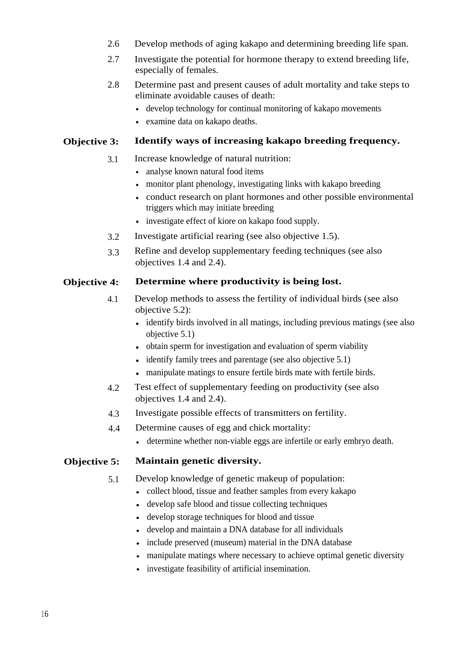- 2.6 Develop methods of aging kakapo and determining breeding life span.
- 2.7 Investigate the potential for hormone therapy to extend breeding life, especially of females.
- 2.8 Determine past and present causes of adult mortality and take steps to eliminate avoidable causes of death:
	- develop technology for continual monitoring of kakapo movements
	- examine data on kakapo deaths.

#### **Objective 3: Identify ways of increasing kakapo breeding frequency.**

- 3.1 Increase knowledge of natural nutrition:
	- analyse known natural food items
	- monitor plant phenology, investigating links with kakapo breeding
	- conduct research on plant hormones and other possible environmental triggers which may initiate breeding
	- investigate effect of kiore on kakapo food supply.
- 3.2 Investigate artificial rearing (see also objective 1.5).
- 3.3 Refine and develop supplementary feeding techniques (see also objectives 1.4 and 2.4).

#### **Objective 4: Determine where productivity is being lost.**

- 4.1 Develop methods to assess the fertility of individual birds (see also objective 5.2):
	- identify birds involved in all matings, including previous matings (see also objective 5.1)
	- obtain sperm for investigation and evaluation of sperm viability
	- identify family trees and parentage (see also objective 5.1)
	- manipulate matings to ensure fertile birds mate with fertile birds.
- 4.2 Test effect of supplementary feeding on productivity (see also objectives 1.4 and 2.4).
- 4.3 Investigate possible effects of transmitters on fertility.
- 4.4 Determine causes of egg and chick mortality:
	- determine whether non-viable eggs are infertile or early embryo death.

#### **Objective 5: Maintain genetic diversity.**

- 5.1 Develop knowledge of genetic makeup of population:
	- collect blood, tissue and feather samples from every kakapo
	- develop safe blood and tissue collecting techniques
	- develop storage techniques for blood and tissue
	- develop and maintain a DNA database for all individuals
	- include preserved (museum) material in the DNA database
	- manipulate matings where necessary to achieve optimal genetic diversity
	- investigate feasibility of artificial insemination.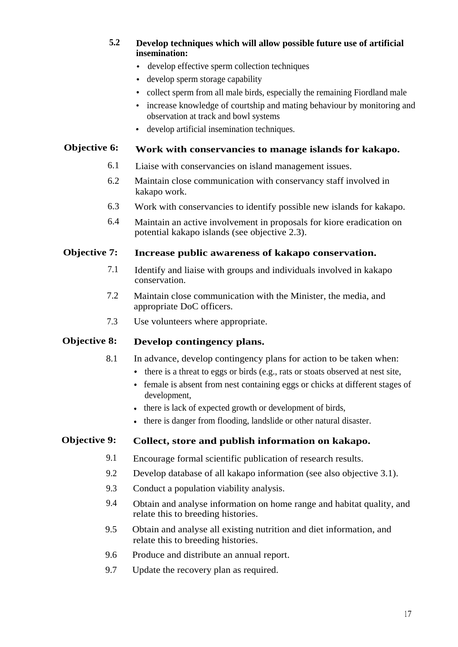#### **5.2 Develop techniques which will allow possible future use of artificial insemination:**

- develop effective sperm collection techniques
- develop sperm storage capability
- collect sperm from all male birds, especially the remaining Fiordland male
- increase knowledge of courtship and mating behaviour by monitoring and observation at track and bowl systems
- develop artificial insemination techniques.

### **Objective 6: Work with conservancies to manage islands for kakapo.**

- 6.1 Liaise with conservancies on island management issues.
- 6.2 Maintain close communication with conservancy staff involved in kakapo work.
- 6.3 Work with conservancies to identify possible new islands for kakapo.
- 6.4 Maintain an active involvement in proposals for kiore eradication on potential kakapo islands (see objective 2.3).

#### **Objective 7: Increase public awareness of kakapo conservation.**

- 7.1 Identify and liaise with groups and individuals involved in kakapo conservation.
- 7.2 Maintain close communication with the Minister, the media, and appropriate DoC officers.
- 7.3 Use volunteers where appropriate.

#### **Objective 8: Develop contingency plans.**

- 8.1 In advance, develop contingency plans for action to be taken when:
	- there is a threat to eggs or birds (e.g., rats or stoats observed at nest site,
	- female is absent from nest containing eggs or chicks at different stages of development,
	- there is lack of expected growth or development of birds,
	- there is danger from flooding, landslide or other natural disaster.

#### **Objective 9: Collect, store and publish information on kakapo.**

- 9.1 Encourage formal scientific publication of research results.
- 9.2 Develop database of all kakapo information (see also objective 3.1).
- 9.3 Conduct a population viability analysis.
- 9.4 Obtain and analyse information on home range and habitat quality, and relate this to breeding histories.
- 9.5 Obtain and analyse all existing nutrition and diet information, and relate this to breeding histories.
- 9.6 Produce and distribute an annual report.
- 9.7 Update the recovery plan as required.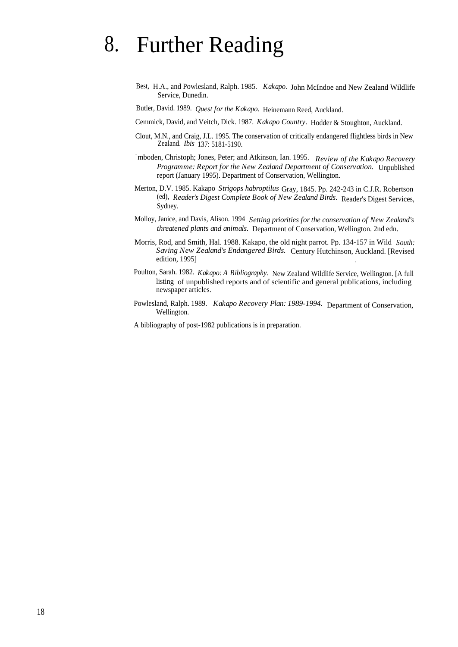# 8. Further Reading

Best, H.A., and Powlesland, Ralph. 1985. *Kakapo.* John McIndoe and New Zealand Wildlife Service, Dunedin.

Butler, David. 1989. *Quest for the Kakapo.* Heinemann Reed, Auckland.

Cemmick, David, and Veitch, Dick. 1987. *Kakapo Country.* Hodder & Stoughton, Auckland.

- Clout, M.N., and Craig, J.L. 1995. The conservation of critically endangered flightless birds in New Zealand. *Ibis* 137: 5181-5190.
- Imboden, Christoph; Jones, Peter; and Atkinson, Ian. 1995. *Review of the Kakapo Recovery Programme: Report for the New Zealand Department of Conservation.* Unpublished report (January 1995). Department of Conservation, Wellington.
- Merton, D.V. 1985. Kakapo *Strigops habroptilus* Gray, 1845. Pp. 242-243 in C.J.R. Robertson (ed), *Reader's Digest Complete Book of New Zealand Birds.* Reader's Digest Services, Sydney.
- Molloy, Janice, and Davis, Alison. 1994 *Setting priorities for the conservation of New Zealand's threatened plants and animals.* Department of Conservation, Wellington. 2nd edn.
- Morris, Rod, and Smith, Hal. 1988. Kakapo, the old night parrot. Pp. 134-157 in Wild *South: Saving New Zealand's Endangered Birds.* Century Hutchinson, Auckland. [Revised edition, 1995]
- Poulton, Sarah. 1982. *Kakapo: A Bibliography.* New Zealand Wildlife Service, Wellington. [A full listing of unpublished reports and of scientific and general publications, including newspaper articles.
- Powlesland, Ralph. 1989. *Kakapo Recovery Plan: 1989-1994.* Department of Conservation, Wellington.

A bibliography of post-1982 publications is in preparation.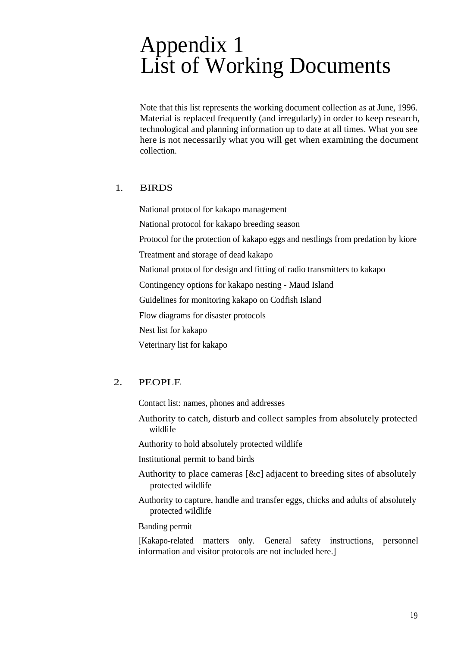# Appendix 1 List of Working Documents

Note that this list represents the working document collection as at June, 1996. Material is replaced frequently (and irregularly) in order to keep research, technological and planning information up to date at all times. What you see here is not necessarily what you will get when examining the document collection.

### 1. BIRDS

National protocol for kakapo management National protocol for kakapo breeding season Protocol for the protection of kakapo eggs and nestlings from predation by kiore Treatment and storage of dead kakapo National protocol for design and fitting of radio transmitters to kakapo Contingency options for kakapo nesting - Maud Island Guidelines for monitoring kakapo on Codfish Island Flow diagrams for disaster protocols Nest list for kakapo Veterinary list for kakapo

## 2. PEOPLE

Contact list: names, phones and addresses

Authority to catch, disturb and collect samples from absolutely protected wildlife

Authority to hold absolutely protected wildlife

Institutional permit to band birds

- Authority to place cameras [&c] adjacent to breeding sites of absolutely protected wildlife
- Authority to capture, handle and transfer eggs, chicks and adults of absolutely protected wildlife

Banding permit

[Kakapo-related matters only. General safety instructions, personnel information and visitor protocols are not included here.]